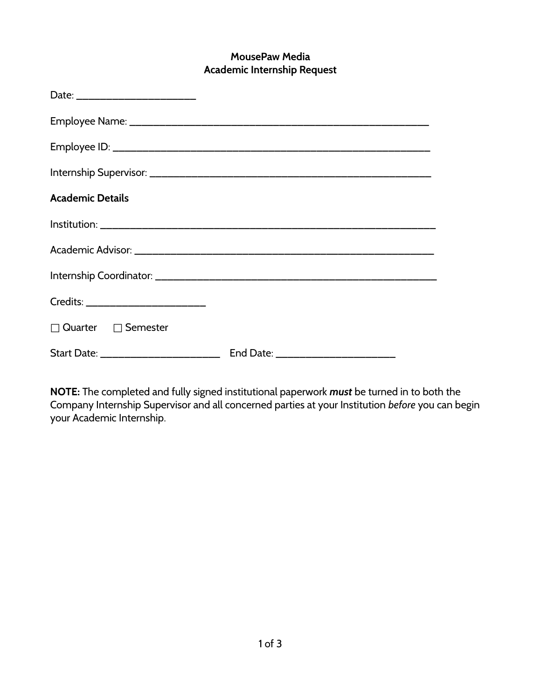# **MousePaw Media Academic Internship Request**

| <b>Academic Details</b>           |                                    |
|-----------------------------------|------------------------------------|
|                                   |                                    |
|                                   |                                    |
|                                   |                                    |
| Credits: ________________________ |                                    |
| $\Box$ Quarter $\Box$ Semester    |                                    |
|                                   | End Date: ________________________ |

**NOTE:** The completed and fully signed institutional paperwork *must* be turned in to both the Company Internship Supervisor and all concerned parties at your Institution *before* you can begin your Academic Internship.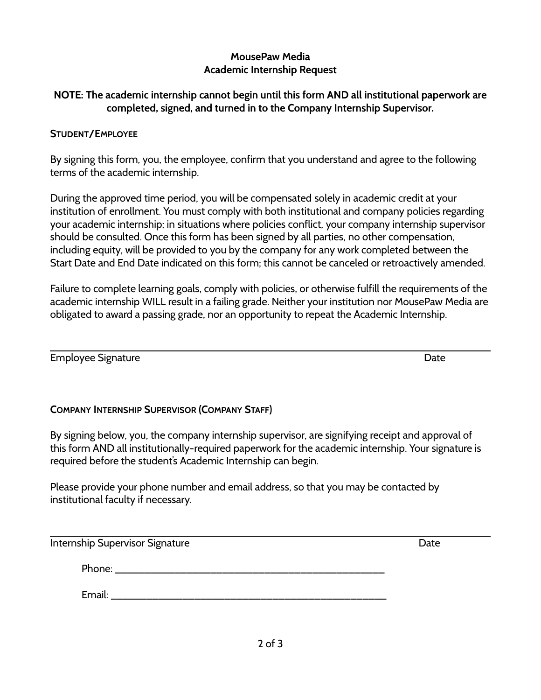## **MousePaw Media Academic Internship Request**

## **NOTE: The academic internship cannot begin until this form AND all institutional paperwork are completed, signed, and turned in to the Company Internship Supervisor.**

#### **STUDENT/EMPLOYEE**

By signing this form, you, the employee, confirm that you understand and agree to the following terms of the academic internship.

During the approved time period, you will be compensated solely in academic credit at your institution of enrollment. You must comply with both institutional and company policies regarding your academic internship; in situations where policies conflict, your company internship supervisor should be consulted. Once this form has been signed by all parties, no other compensation, including equity, will be provided to you by the company for any work completed between the Start Date and End Date indicated on this form; this cannot be canceled or retroactively amended.

Failure to complete learning goals, comply with policies, or otherwise fulfill the requirements of the academic internship WILL result in a failing grade. Neither your institution nor MousePaw Media are obligated to award a passing grade, nor an opportunity to repeat the Academic Internship.

Employee Signature **Employee Signature**  $\blacksquare$ 

## **COMPANY INTERNSHIP SUPERVISOR (COMPANY STAFF)**

By signing below, you, the company internship supervisor, are signifying receipt and approval of this form AND all institutionally-required paperwork for the academic internship. Your signature is required before the student's Academic Internship can begin.

Please provide your phone number and email address, so that you may be contacted by institutional faculty if necessary.

Internship Supervisor Signature **Date** Date **Date** 

Phone: \_\_\_\_\_\_\_\_\_\_\_\_\_\_\_\_\_\_\_\_\_\_\_\_\_\_\_\_\_\_\_\_\_\_\_\_\_\_\_\_\_\_\_\_\_

Email: \_\_\_\_\_\_\_\_\_\_\_\_\_\_\_\_\_\_\_\_\_\_\_\_\_\_\_\_\_\_\_\_\_\_\_\_\_\_\_\_\_\_\_\_\_\_